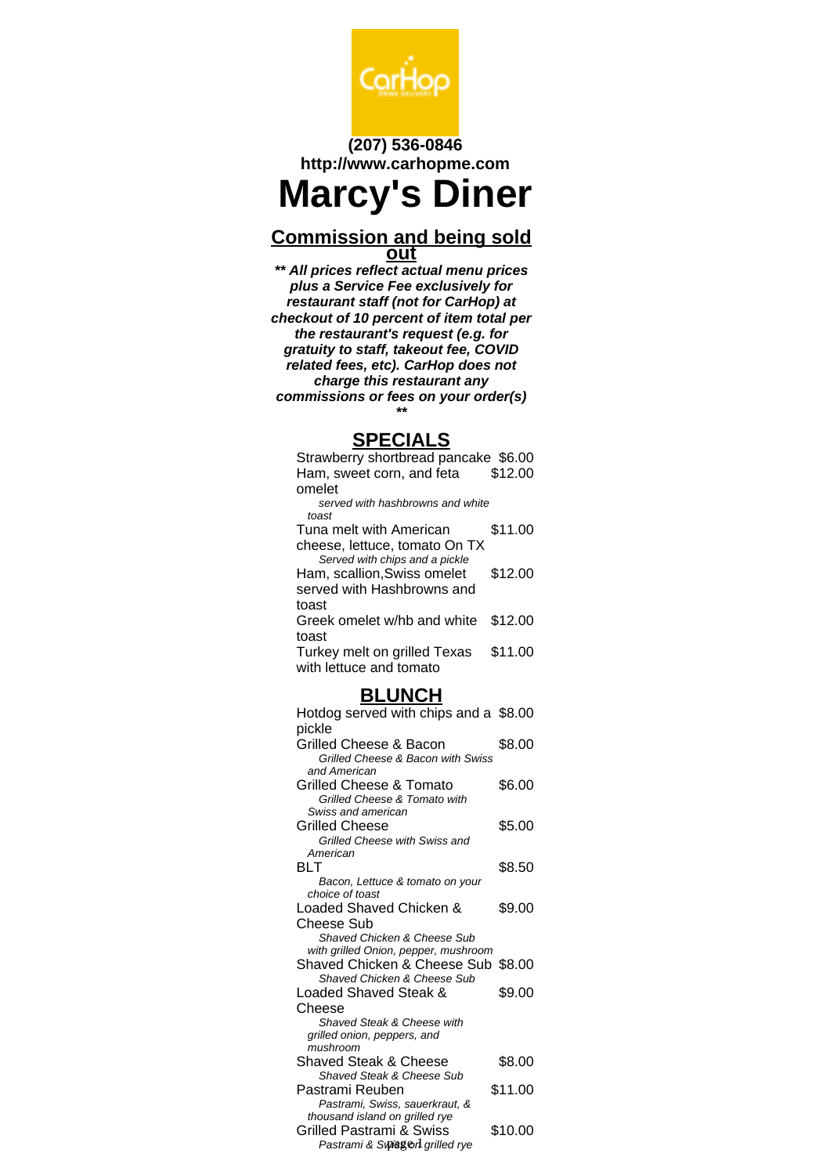

### **(207) 536-0846 http://www.carhopme.com**

# **Marcy's Diner**

#### **Commission and being sold out**

**\*\* All prices reflect actual menu prices plus a Service Fee exclusively for restaurant staff (not for CarHop) at checkout of 10 percent of item total per the restaurant's request (e.g. for gratuity to staff, takeout fee, COVID related fees, etc). CarHop does not charge this restaurant any commissions or fees on your order(s) \*\***

#### **SPECIALS**

| Strawberry shortbread pancake \$6.00 |         |
|--------------------------------------|---------|
| Ham, sweet corn, and feta            | \$12.00 |
| omelet                               |         |
| served with hashbrowns and white     |         |
| toast                                |         |
| Tuna melt with American              | \$11.00 |
| cheese, lettuce, tomato On TX        |         |
| Served with chips and a pickle       |         |
| Ham, scallion, Swiss omelet          | \$12.00 |
| served with Hashbrowns and           |         |
| toast                                |         |
| Greek omelet w/hb and white          | \$12.00 |
| toast                                |         |
| Turkey melt on grilled Texas         | \$11.00 |
| with lettuce and tomato              |         |

#### **BLUNCH**

| Hotdog served with chips and a \$8.00                             |         |
|-------------------------------------------------------------------|---------|
| pickle                                                            |         |
| Grilled Cheese & Bacon                                            | \$8.00  |
| Grilled Cheese & Bacon with Swiss                                 |         |
| and American                                                      |         |
| Grilled Cheese & Tomato                                           | \$6.00  |
| Grilled Cheese & Tomato with                                      |         |
| Swiss and american                                                |         |
| <b>Grilled Cheese</b>                                             | \$5.00  |
| Grilled Cheese with Swiss and                                     |         |
| American                                                          |         |
| RI T                                                              | \$8.50  |
| Bacon, Lettuce & tomato on your                                   |         |
| choice of toast                                                   |         |
| Loaded Shaved Chicken &                                           | \$9.00  |
| Cheese Sub                                                        |         |
| Shaved Chicken & Cheese Sub                                       |         |
| with grilled Onion, pepper, mushroom                              |         |
| Shaved Chicken & Cheese Sub \$8.00<br>Shaved Chicken & Cheese Sub |         |
| Loaded Shaved Steak &                                             | \$9.00  |
|                                                                   |         |
| Cheese<br>Shaved Steak & Cheese with                              |         |
| grilled onion, peppers, and                                       |         |
| mushroom                                                          |         |
| Shaved Steak & Cheese                                             | \$8.00  |
| <b>Shaved Steak &amp; Cheese Sub</b>                              |         |
| Pastrami Reuben                                                   | \$11.00 |
| Pastrami, Swiss, sauerkraut, &                                    |         |
| thousand island on grilled rye                                    |         |
| Grilled Pastrami & Swiss                                          | \$10.00 |
| Pastrami & Sพิ/ริเซิก arilled rve                                 |         |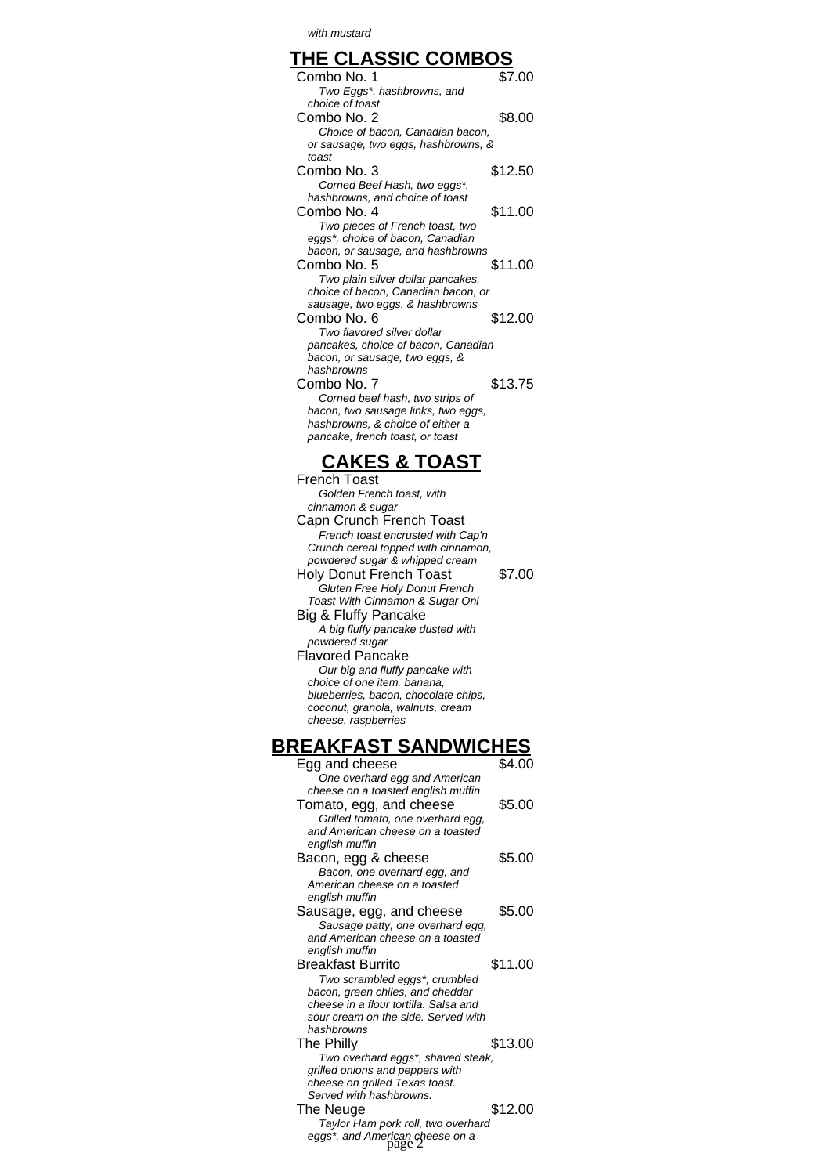with mustard

| <b>THE CLASSIC COMBOS</b>                                             |         |
|-----------------------------------------------------------------------|---------|
| Combo No. 1                                                           | \$7.00  |
| Two Eggs*, hashbrowns, and                                            |         |
| choice of toast                                                       |         |
| Combo No. 2                                                           | \$8.00  |
| Choice of bacon, Canadian bacon,                                      |         |
| or sausage, two eggs, hashbrowns, &                                   |         |
| toast                                                                 |         |
| Combo No. 3                                                           | \$12.50 |
| Corned Beef Hash, two eggs*,                                          |         |
| hashbrowns, and choice of toast                                       |         |
| Combo No. 4                                                           | \$11.00 |
| Two pieces of French toast, two                                       |         |
| eggs*, choice of bacon, Canadian                                      |         |
| bacon, or sausage, and hashbrowns                                     |         |
| Combo No. 5                                                           | \$11.00 |
| Two plain silver dollar pancakes,                                     |         |
| choice of bacon, Canadian bacon, or                                   |         |
| sausage, two eggs, & hashbrowns<br>Combo No. 6                        |         |
|                                                                       | \$12.00 |
| Two flavored silver dollar                                            |         |
| pancakes, choice of bacon, Canadian<br>bacon, or sausage, two eggs, & |         |
| hashbrowns                                                            |         |
| Combo No. 7                                                           | \$13.75 |
| Corned beef hash, two strips of                                       |         |
| bacon, two sausage links, two eggs,                                   |         |
| hashbrowns, & choice of either a                                      |         |
| pancake, french toast, or toast                                       |         |
|                                                                       |         |

## **CAKES & TOAST**

| French Toast                         |        |
|--------------------------------------|--------|
| Golden French toast, with            |        |
| cinnamon & sugar                     |        |
| Capn Crunch French Toast             |        |
| French toast encrusted with Cap'n    |        |
| Crunch cereal topped with cinnamon,  |        |
| powdered sugar & whipped cream       |        |
| Holy Donut French Toast              | \$7.00 |
| Gluten Free Holy Donut French        |        |
| Toast With Cinnamon & Sugar Onl      |        |
| Big & Fluffy Pancake                 |        |
| A big fluffy pancake dusted with     |        |
| powdered sugar                       |        |
| <b>Flavored Pancake</b>              |        |
| Our big and fluffy pancake with      |        |
| choice of one item. banana.          |        |
| blueberries, bacon, chocolate chips, |        |
| coconut, granola, walnuts, cream     |        |
| cheese, raspberries                  |        |

## **BREAKFAST SANDWICHES**

| \$4.00                             |
|------------------------------------|
|                                    |
| \$5.00                             |
|                                    |
|                                    |
|                                    |
| \$5.00                             |
|                                    |
|                                    |
|                                    |
| \$5.00                             |
|                                    |
|                                    |
|                                    |
| \$11.00                            |
|                                    |
|                                    |
|                                    |
|                                    |
| \$13.00                            |
| Two overhard eggs*, shaved steak,  |
|                                    |
|                                    |
|                                    |
| \$12.00                            |
| Taylor Ham pork roll, two overhard |
|                                    |
|                                    |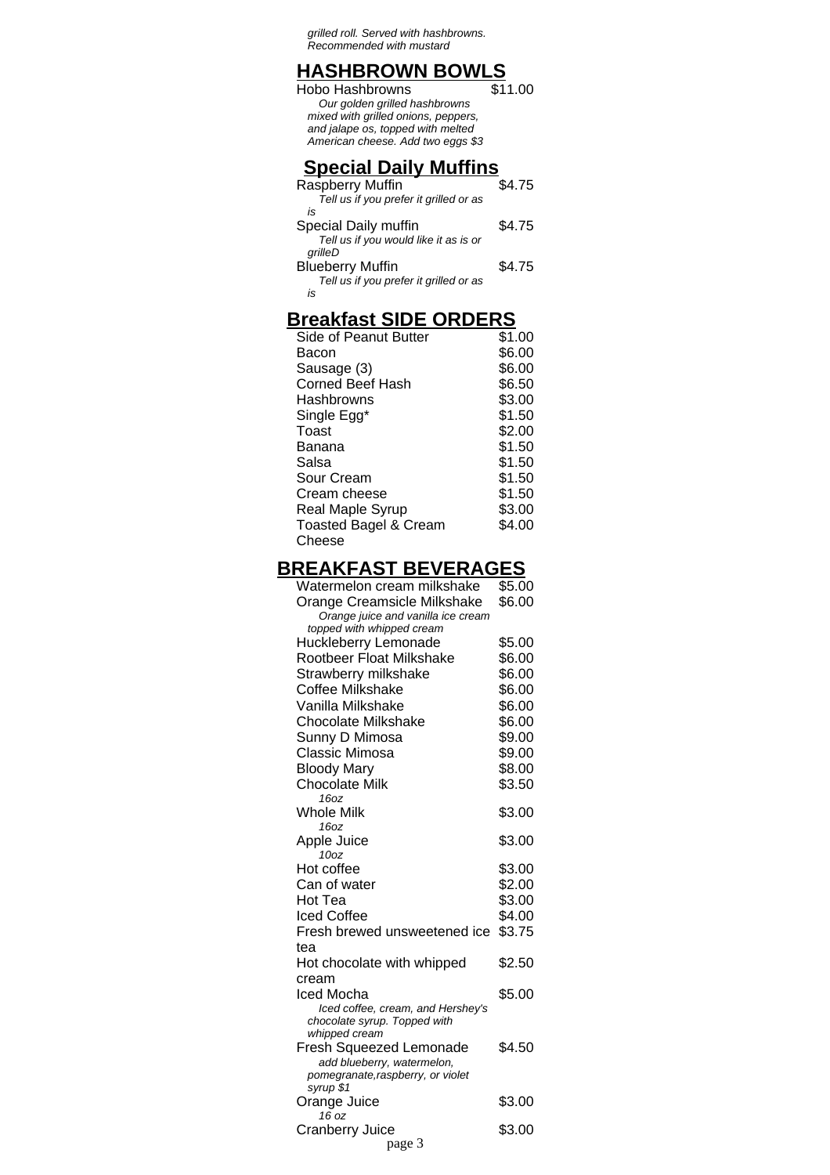grilled roll. Served with hashbrowns. Recommended with mustard

### **HASHBROWN BOWLS**

| Hobo Hashbrowns                     | \$11.00 |
|-------------------------------------|---------|
| Our golden grilled hashbrowns       |         |
| mixed with grilled onions, peppers, |         |
| and jalape os, topped with melted   |         |
| American cheese. Add two eggs \$3   |         |
|                                     |         |
| <b>Special Daily Muffins</b>        |         |

| Raspberry Muffin                       | 4.75   |
|----------------------------------------|--------|
| Tell us if you prefer it grilled or as |        |
| is                                     |        |
| Special Daily muffin                   | \$4.75 |
| Tell us if you would like it as is or  |        |
| grilleD                                |        |
| <b>Blueberry Muffin</b>                | \$4.75 |
| Tell us if you prefer it grilled or as |        |
| is                                     |        |

## **Breakfast SIDE ORDERS**

| Side of Peanut Butter            | \$1.00 |
|----------------------------------|--------|
| Bacon                            | \$6.00 |
| Sausage (3)                      | \$6.00 |
| Corned Beef Hash                 | \$6.50 |
| Hashbrowns                       | \$3.00 |
| Single Egg*                      | \$1.50 |
| Toast                            | \$2.00 |
| Banana                           | \$1.50 |
| Salsa                            | \$1.50 |
| Sour Cream                       | \$1.50 |
| Cream cheese                     | \$1.50 |
| Real Maple Syrup                 | \$3.00 |
| <b>Toasted Bagel &amp; Cream</b> | \$4.00 |
| Cheese                           |        |
|                                  |        |

## **BREAKFAST BEVERAGES**

| Watermelon cream milkshake               | \$5.00 |
|------------------------------------------|--------|
| Orange Creamsicle Milkshake              | \$6.00 |
| Orange juice and vanilla ice cream       |        |
| topped with whipped cream                |        |
| Huckleberry Lemonade                     | \$5.00 |
| Rootbeer Float Milkshake                 | \$6.00 |
| Strawberry milkshake                     | \$6.00 |
| <b>Coffee Milkshake</b>                  | \$6.00 |
| Vanilla Milkshake                        | \$6.00 |
| <b>Chocolate Milkshake</b>               | \$6.00 |
| Sunny D Mimosa                           | \$9.00 |
| Classic Mimosa                           | \$9.00 |
| <b>Bloody Mary</b>                       | \$8.00 |
| <b>Chocolate Milk</b>                    | \$3.50 |
| 16oz                                     |        |
| <b>Whole Milk</b>                        | \$3.00 |
| 16oz                                     |        |
| Apple Juice                              | \$3.00 |
| 10 <sub>oz</sub>                         |        |
| Hot coffee                               | \$3.00 |
| Can of water                             | \$2.00 |
| Hot Tea                                  | \$3.00 |
| Iced Coffee                              | \$4.00 |
| Fresh brewed unsweetened ice             | \$3.75 |
| tea                                      |        |
| Hot chocolate with whipped               | \$2.50 |
| cream                                    |        |
| Iced Mocha                               | \$5.00 |
| Iced coffee, cream, and Hershey's        |        |
| chocolate syrup. Topped with             |        |
| whipped cream<br>Fresh Squeezed Lemonade | \$4.50 |
| add blueberry, watermelon,               |        |
| pomegranate, raspberry, or violet        |        |
| syrup \$1                                |        |
| Orange Juice                             | \$3.00 |
| 16 oz                                    |        |
| <b>Cranberry Juice</b>                   | \$3.00 |
| page 3                                   |        |